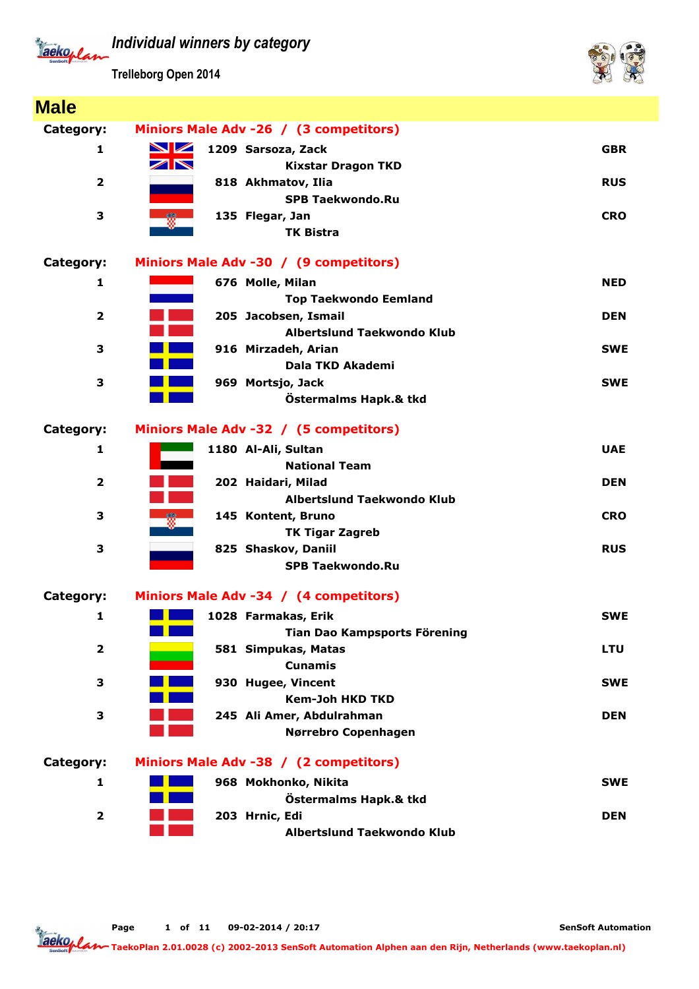

**Trelleborg Open 2014**



| <b>Male</b>             |                                                    |            |
|-------------------------|----------------------------------------------------|------------|
| Category:               | Miniors Male Adv -26 / (3 competitors)             |            |
| 1                       | $\blacksquare$<br>1209 Sarsoza, Zack               | <b>GBR</b> |
|                         | $\blacktriangleright$<br><b>Kixstar Dragon TKD</b> |            |
| $\overline{\mathbf{2}}$ | 818 Akhmatov, Ilia                                 | <b>RUS</b> |
|                         | <b>SPB Taekwondo.Ru</b>                            |            |
| 3                       | 135 Flegar, Jan<br>₩.                              | <b>CRO</b> |
|                         | <b>TK Bistra</b>                                   |            |
| Category:               | Miniors Male Adv -30 / (9 competitors)             |            |
| 1                       | 676 Molle, Milan                                   | <b>NED</b> |
|                         | <b>Top Taekwondo Eemland</b>                       |            |
| $\overline{\mathbf{2}}$ | 205 Jacobsen, Ismail                               | <b>DEN</b> |
|                         | Albertslund Taekwondo Klub                         |            |
| 3                       | 916 Mirzadeh, Arian                                | <b>SWE</b> |
|                         | Dala TKD Akademi                                   |            |
| 3                       | 969 Mortsjo, Jack                                  | <b>SWE</b> |
|                         | Östermalms Hapk.& tkd                              |            |
| Category:               | Miniors Male Adv -32 / (5 competitors)             |            |
| 1                       | 1180 Al-Ali, Sultan                                | <b>UAE</b> |
|                         | <b>National Team</b>                               |            |
| $\overline{\mathbf{2}}$ | 202 Haidari, Milad                                 | <b>DEN</b> |
|                         | <b>Albertslund Taekwondo Klub</b>                  |            |
| 3                       | 145 Kontent, Bruno<br>$\frac{1}{2}$                | <b>CRO</b> |
|                         | <b>TK Tigar Zagreb</b>                             |            |
| 3                       | 825 Shaskov, Daniil                                | <b>RUS</b> |
|                         | <b>SPB Taekwondo.Ru</b>                            |            |
| Category:               | Miniors Male Adv -34 / (4 competitors)             |            |
| 1                       | 1028 Farmakas, Erik                                | <b>SWE</b> |
|                         | Tian Dao Kampsports Förening                       |            |
| $\overline{\mathbf{2}}$ | 581 Simpukas, Matas                                | <b>LTU</b> |
|                         | <b>Cunamis</b>                                     |            |
| 3                       | 930 Hugee, Vincent                                 | <b>SWE</b> |
|                         | <b>Kem-Joh HKD TKD</b>                             |            |
| 3                       | 245 Ali Amer, Abdulrahman                          | <b>DEN</b> |
|                         | Nørrebro Copenhagen                                |            |
| Category:               | Miniors Male Adv -38 / (2 competitors)             |            |
| 1                       | 968 Mokhonko, Nikita                               | <b>SWE</b> |
|                         | Östermalms Hapk.& tkd                              |            |
| $\overline{\mathbf{2}}$ | 203 Hrnic, Edi                                     | <b>DEN</b> |
|                         | Albertslund Taekwondo Klub                         |            |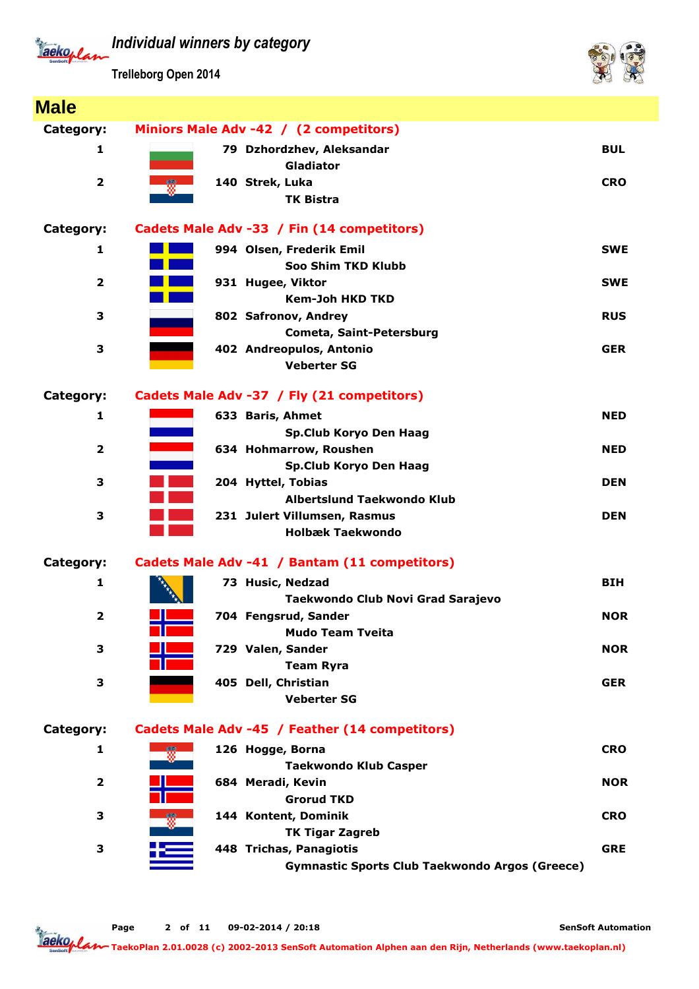*Individual winners by category* Tackoplan

**Trelleborg Open 2014**



| <b>Male</b>             |                                                       |            |
|-------------------------|-------------------------------------------------------|------------|
| Category:               | Miniors Male Adv -42 / (2 competitors)                |            |
| 1                       | 79 Dzhordzhev, Aleksandar                             | <b>BUL</b> |
|                         | Gladiator                                             |            |
| $\mathbf{2}$            | 140 Strek, Luka                                       | <b>CRO</b> |
|                         | <b>TK Bistra</b>                                      |            |
|                         |                                                       |            |
| <b>Category:</b>        | Cadets Male Adv -33 / Fin (14 competitors)            |            |
| 1                       | 994 Olsen, Frederik Emil                              | <b>SWE</b> |
|                         | Soo Shim TKD Klubb                                    |            |
| $\overline{\mathbf{2}}$ | 931 Hugee, Viktor                                     | <b>SWE</b> |
|                         | <b>Kem-Joh HKD TKD</b>                                |            |
| 3                       | 802 Safronov, Andrey<br><u> Tan</u>                   | <b>RUS</b> |
|                         | Cometa, Saint-Petersburg                              |            |
| 3                       | 402 Andreopulos, Antonio                              | <b>GER</b> |
|                         | <b>Veberter SG</b>                                    |            |
| <b>Category:</b>        | Cadets Male Adv -37 / Fly (21 competitors)            |            |
| 1                       | 633 Baris, Ahmet                                      | <b>NED</b> |
|                         | Sp.Club Koryo Den Haag                                |            |
| 2                       | 634 Hohmarrow, Roushen                                | <b>NED</b> |
|                         | Sp.Club Koryo Den Haag                                |            |
| 3                       | 204 Hyttel, Tobias                                    | <b>DEN</b> |
|                         | <b>Albertslund Taekwondo Klub</b>                     |            |
| 3                       | 231 Julert Villumsen, Rasmus                          | <b>DEN</b> |
|                         | <b>Holbæk Taekwondo</b>                               |            |
| Category:               | Cadets Male Adv -41 / Bantam (11 competitors)         |            |
|                         |                                                       |            |
| 1                       | 73 Husic, Nedzad<br>Taekwondo Club Novi Grad Sarajevo | <b>BIH</b> |
| $\mathbf{2}$            | 704 Fengsrud, Sander                                  | <b>NOR</b> |
|                         | <b>Mudo Team Tveita</b>                               |            |
| 3                       | 729 Valen, Sander                                     | <b>NOR</b> |
|                         | <b>Team Ryra</b>                                      |            |
| 3                       | 405 Dell, Christian                                   | <b>GER</b> |
|                         | <b>Veberter SG</b>                                    |            |
|                         |                                                       |            |
| Category:               | Cadets Male Adv -45 / Feather (14 competitors)        |            |
| 1                       | 126 Hogge, Borna                                      | <b>CRO</b> |
|                         | <b>Taekwondo Klub Casper</b>                          |            |
| $\overline{\mathbf{2}}$ | 684 Meradi, Kevin                                     | <b>NOR</b> |
|                         | <b>Grorud TKD</b>                                     |            |
| 3                       | 144 Kontent, Dominik                                  | <b>CRO</b> |
|                         | <b>TK Tigar Zagreb</b>                                |            |
| 3                       | 448 Trichas, Panagiotis                               | <b>GRE</b> |
|                         | <b>Gymnastic Sports Club Taekwondo Argos (Greece)</b> |            |

**SenSoft Automation**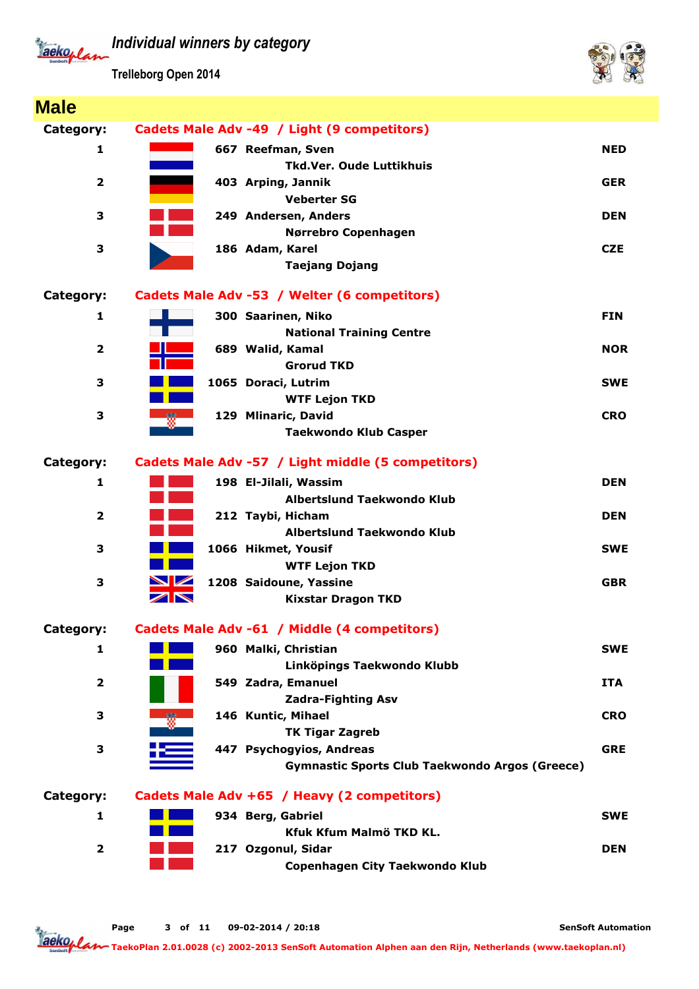Tackoplan

**Trelleborg Open 2014**



| <b>Male</b>             |                                                       |            |
|-------------------------|-------------------------------------------------------|------------|
| Category:               | Cadets Male Adv -49 / Light (9 competitors)           |            |
| 1                       | 667 Reefman, Sven                                     | <b>NED</b> |
|                         | <b>Tkd.Ver. Oude Luttikhuis</b>                       |            |
| $\overline{\mathbf{2}}$ | 403 Arping, Jannik                                    | <b>GER</b> |
|                         | <b>Veberter SG</b>                                    |            |
| 3                       | 249 Andersen, Anders                                  | <b>DEN</b> |
|                         | Nørrebro Copenhagen                                   |            |
| 3                       | 186 Adam, Karel                                       | <b>CZE</b> |
|                         | <b>Taejang Dojang</b>                                 |            |
| Category:               | Cadets Male Adv -53 / Welter (6 competitors)          |            |
| 1                       | 300 Saarinen, Niko                                    | <b>FIN</b> |
|                         | <b>National Training Centre</b>                       |            |
| $\overline{\mathbf{2}}$ | 689 Walid, Kamal                                      | <b>NOR</b> |
|                         | <b>Grorud TKD</b>                                     |            |
| 3                       | 1065 Doraci, Lutrim                                   | <b>SWE</b> |
|                         | <b>WTF Lejon TKD</b>                                  |            |
| 3                       | 129 Mlinaric, David                                   | <b>CRO</b> |
|                         | <b>Taekwondo Klub Casper</b>                          |            |
| Category:               | Cadets Male Adv -57 / Light middle (5 competitors)    |            |
| $\mathbf{1}$            | 198 El-Jilali, Wassim                                 | <b>DEN</b> |
|                         | Albertslund Taekwondo Klub                            |            |
| $\overline{\mathbf{2}}$ | <b>Service Service</b><br>212 Taybi, Hicham           | <b>DEN</b> |
|                         | Albertslund Taekwondo Klub                            |            |
| 3                       | 1066 Hikmet, Yousif                                   | <b>SWE</b> |
|                         | <b>WTF Lejon TKD</b>                                  |            |
| 3                       | $\blacksquare$<br>1208 Saidoune, Yassine              | <b>GBR</b> |
|                         | ╱<br><b>Kixstar Dragon TKD</b>                        |            |
| Category:               | Cadets Male Adv -61 / Middle (4 competitors)          |            |
| 1                       | 960 Malki, Christian                                  | <b>SWE</b> |
|                         | Linköpings Taekwondo Klubb                            |            |
| $\overline{\mathbf{2}}$ | 549 Zadra, Emanuel                                    | <b>ITA</b> |
|                         | <b>Zadra-Fighting Asv</b>                             |            |
| 3                       | 146 Kuntic, Mihael                                    | <b>CRO</b> |
|                         | <b>TK Tigar Zagreb</b>                                |            |
| 3                       | 447 Psychogyios, Andreas                              | <b>GRE</b> |
|                         | <b>Gymnastic Sports Club Taekwondo Argos (Greece)</b> |            |
| Category:               | Cadets Male Adv +65 / Heavy (2 competitors)           |            |
| 1                       | 934 Berg, Gabriel                                     | <b>SWE</b> |
|                         | Kfuk Kfum Malmö TKD KL.                               |            |
| $\overline{\mathbf{2}}$ | 217 Ozgonul, Sidar                                    | <b>DEN</b> |
|                         | Copenhagen City Taekwondo Klub                        |            |

**SenSoft Automation**

**Taeko<sub>p</sub> lan - 1999**<br>Taekop lan - <sub>Taeko</sub>Plan 2.01.0028 (c) 2002-2013 SenSoft Automation Alphen aan den Rijn, Netherlands (www.taekoplan.nl)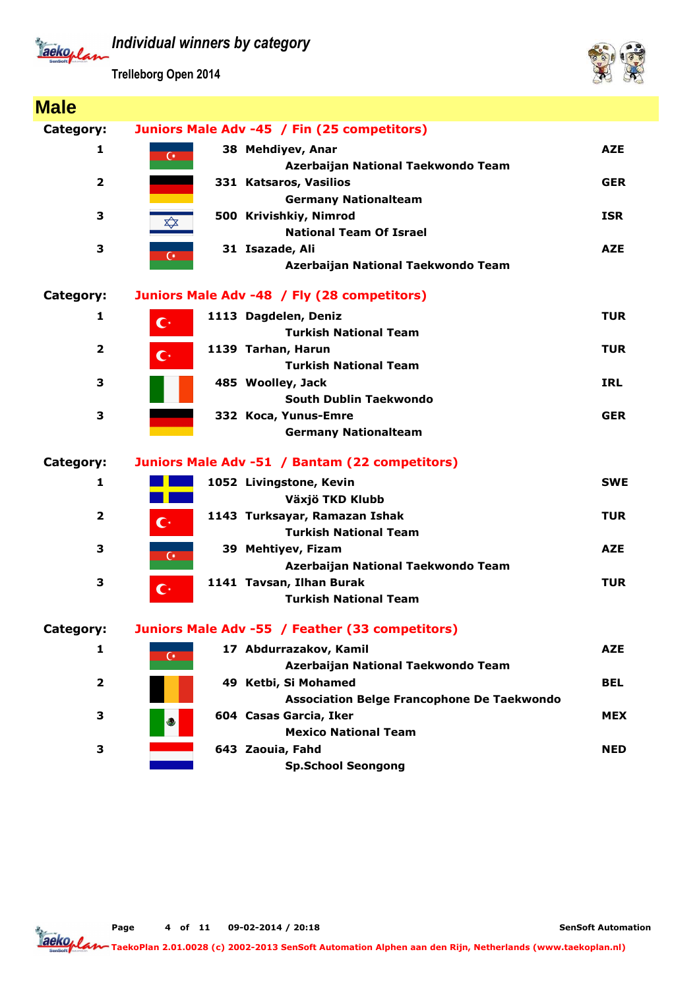

**Trelleborg Open 2014**



| <b>Male</b>             |                                                                                 |            |
|-------------------------|---------------------------------------------------------------------------------|------------|
| Category:               | Juniors Male Adv -45 / Fin (25 competitors)                                     |            |
| 1                       | 38 Mehdiyev, Anar<br>$\overline{C}$                                             | <b>AZE</b> |
| $\overline{2}$          | Azerbaijan National Taekwondo Team<br>331 Katsaros, Vasilios                    | <b>GER</b> |
|                         | <b>Germany Nationalteam</b>                                                     |            |
| 3                       | 500 Krivishkiy, Nimrod<br><br><b>National Team Of Israel</b>                    | <b>ISR</b> |
| 3                       | 31 Isazade, Ali<br>$\overline{C}$<br>Azerbaijan National Taekwondo Team         | <b>AZE</b> |
| Category:               | Juniors Male Adv -48 / Fly (28 competitors)                                     |            |
| 1                       | 1113 Dagdelen, Deniz<br>$\mathbf{C}^*$                                          | <b>TUR</b> |
| $\overline{\mathbf{2}}$ | <b>Turkish National Team</b><br>1139 Tarhan, Harun<br>$\mathbb{C}^*$            | <b>TUR</b> |
|                         | <b>Turkish National Team</b>                                                    |            |
| 3                       | 485 Woolley, Jack<br>South Dublin Taekwondo                                     | <b>IRL</b> |
| 3                       | 332 Koca, Yunus-Emre                                                            | <b>GER</b> |
|                         | <b>Germany Nationalteam</b>                                                     |            |
| Category:               | Juniors Male Adv -51 / Bantam (22 competitors)                                  |            |
| 1                       | 1052 Livingstone, Kevin                                                         | <b>SWE</b> |
|                         | Växjö TKD Klubb                                                                 |            |
| $\overline{2}$          | 1143 Turksayar, Ramazan Ishak<br>$\mathbf{C}^*$<br><b>Turkish National Team</b> | <b>TUR</b> |
| 3                       | 39 Mehtiyev, Fizam<br>$\overline{C}$                                            | <b>AZE</b> |
|                         | Azerbaijan National Taekwondo Team                                              |            |
| 3                       | 1141 Tavsan, Ilhan Burak<br>$\mathbf{C}^*$<br><b>Turkish National Team</b>      | <b>TUR</b> |
| Category:               | Juniors Male Adv -55 / Feather (33 competitors)                                 |            |
| 1                       | 17 Abdurrazakov, Kamil                                                          | <b>AZE</b> |
|                         | $\overline{C}$<br>Azerbaijan National Taekwondo Team                            |            |
| 2                       | 49 Ketbi, Si Mohamed                                                            | <b>BEL</b> |
|                         | Association Belge Francophone De Taekwondo                                      |            |
| 3                       | 604 Casas Garcia, Iker<br>$\epsilon$                                            | <b>MEX</b> |
|                         | <b>Mexico National Team</b>                                                     |            |
| 3                       | 643 Zaouia, Fahd                                                                | <b>NED</b> |
|                         | <b>Sp.School Seongong</b>                                                       |            |

**Page of 11 09-02-2014 / 20:18 4**

**SenSoft Automation**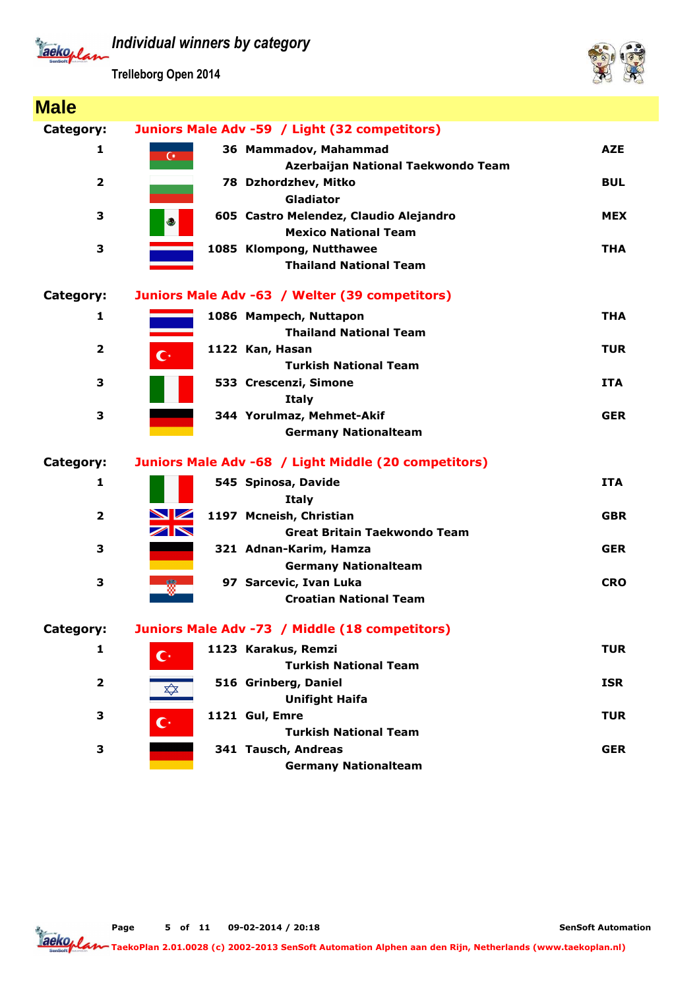Jackoplan

**Trelleborg Open 2014**



| <b>Male</b>             |                                                                                              |            |
|-------------------------|----------------------------------------------------------------------------------------------|------------|
| Category:               | Juniors Male Adv -59 / Light (32 competitors)                                                |            |
| 1                       | 36 Mammadov, Mahammad<br>$\overline{C}$<br>Azerbaijan National Taekwondo Team                | <b>AZE</b> |
| $\overline{2}$          | 78 Dzhordzhev, Mitko<br><b>Gladiator</b>                                                     | <b>BUL</b> |
| З                       | 605 Castro Melendez, Claudio Alejandro<br>$\leftarrow$<br><b>Mexico National Team</b>        | <b>MEX</b> |
| З                       | 1085 Klompong, Nutthawee<br><b>Thailand National Team</b>                                    | <b>THA</b> |
| Category:               | Juniors Male Adv -63 / Welter (39 competitors)                                               |            |
| 1                       | 1086 Mampech, Nuttapon<br><b>Thailand National Team</b>                                      | <b>THA</b> |
| $\overline{2}$          | 1122 Kan, Hasan<br>$\mathbf{C}^*$<br><b>Turkish National Team</b>                            | <b>TUR</b> |
| З                       | 533 Crescenzi, Simone<br><b>Italy</b>                                                        | <b>ITA</b> |
| 3                       | 344 Yorulmaz, Mehmet-Akif<br><b>Germany Nationalteam</b>                                     | <b>GER</b> |
| Category:               | Juniors Male Adv -68 / Light Middle (20 competitors)                                         |            |
| 1                       | 545 Spinosa, Davide<br><b>Italy</b>                                                          | <b>ITA</b> |
| $\overline{2}$          | NZ<br>1197 Mcneish, Christian<br>$\blacktriangledown$<br><b>Great Britain Taekwondo Team</b> | <b>GBR</b> |
| 3                       | 321 Adnan-Karim, Hamza<br><b>Germany Nationalteam</b>                                        | <b>GER</b> |
| 3                       | 97 Sarcevic, Ivan Luka<br><b>Croatian National Team</b>                                      | <b>CRO</b> |
| Category:               | Juniors Male Adv -73 / Middle (18 competitors)                                               |            |
| 1                       | 1123 Karakus, Remzi<br>$\mathbf{C}^*$<br><b>Turkish National Team</b>                        | <b>TUR</b> |
| $\overline{\mathbf{2}}$ | 516 Grinberg, Daniel<br>$\bigstar \rightarrow$<br><b>Unifight Haifa</b>                      | <b>ISR</b> |
| 3                       | 1121 Gul, Emre<br>$\mathbf{C}^*$<br><b>Turkish National Team</b>                             | <b>TUR</b> |
| 3                       | 341 Tausch, Andreas<br><b>Germany Nationalteam</b>                                           | <b>GER</b> |

**Page of 11 09-02-2014 / 20:18 5**

**SenSoft Automation**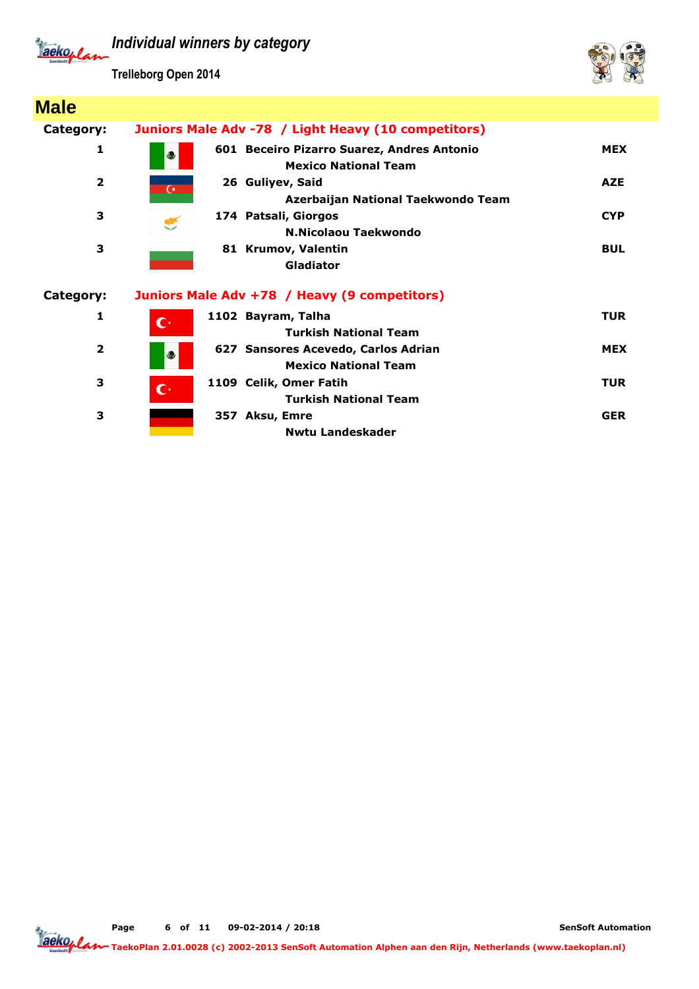

**Trelleborg Open 2014**



| <b>Male</b>             |                                                                                  |            |
|-------------------------|----------------------------------------------------------------------------------|------------|
| Category:               | Juniors Male Adv -78 / Light Heavy (10 competitors)                              |            |
| 1                       | 601 Beceiro Pizarro Suarez, Andres Antonio<br>رچ<br><b>Mexico National Team</b>  | <b>MEX</b> |
| $\overline{2}$          | 26 Guliyev, Said<br>$\overline{C}$<br>Azerbaijan National Taekwondo Team         | <b>AZE</b> |
| 3                       | 174 Patsali, Giorgos<br>N.Nicolaou Taekwondo                                     | <b>CYP</b> |
| 3                       | 81 Krumov, Valentin<br><b>Gladiator</b>                                          | <b>BUL</b> |
| Category:               | Juniors Male Adv +78 / Heavy (9 competitors)                                     |            |
| 1                       | 1102 Bayram, Talha<br>$\overline{\mathbb{C}}$<br><b>Turkish National Team</b>    | <b>TUR</b> |
| $\overline{\mathbf{2}}$ | 627 Sansores Acevedo, Carlos Adrian<br>$\epsilon$<br><b>Mexico National Team</b> | <b>MEX</b> |
| 3                       | 1109 Celik, Omer Fatih<br>$\mathbf{C}^*$<br><b>Turkish National Team</b>         | <b>TUR</b> |
| 3                       | 357 Aksu, Emre<br>Nwtu Landeskader                                               | <b>GER</b> |

**Page of 11 09-02-2014 / 20:18 6**

**SenSoft Automation**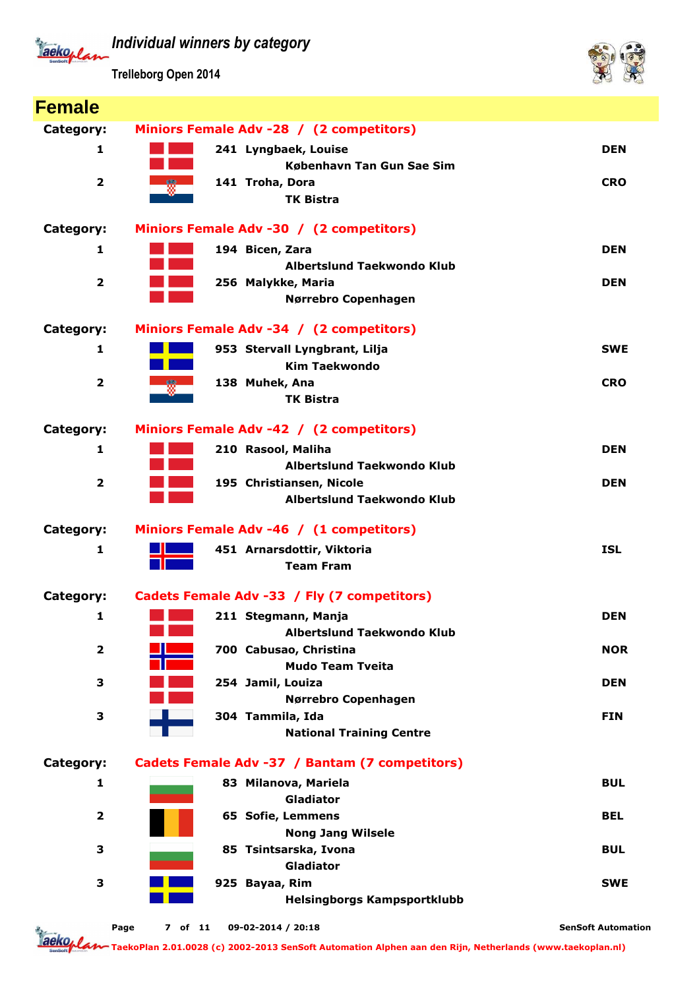*Individual winners by category* Tackoplan

**Trelleborg Open 2014**



| <b>Female</b>           |                                                |                           |
|-------------------------|------------------------------------------------|---------------------------|
| Category:               | Miniors Female Adv -28 / (2 competitors)       |                           |
| 1                       | 241 Lyngbaek, Louise                           | <b>DEN</b>                |
|                         | København Tan Gun Sae Sim                      |                           |
| $\overline{\mathbf{2}}$ | 141 Troha, Dora                                | <b>CRO</b>                |
|                         | <b>TK Bistra</b>                               |                           |
| Category:               | Miniors Female Adv -30 / (2 competitors)       |                           |
| 1                       | 194 Bicen, Zara                                | <b>DEN</b>                |
|                         | Albertslund Taekwondo Klub                     |                           |
| $\overline{2}$          | 256 Malykke, Maria                             | <b>DEN</b>                |
|                         | Nørrebro Copenhagen                            |                           |
| Category:               | Miniors Female Adv -34 / (2 competitors)       |                           |
| 1                       | 953 Stervall Lyngbrant, Lilja                  | <b>SWE</b>                |
|                         | <b>Kim Taekwondo</b>                           |                           |
| $\overline{\mathbf{2}}$ | 138 Muhek, Ana                                 | <b>CRO</b>                |
|                         | <b>TK Bistra</b>                               |                           |
| Category:               | Miniors Female Adv -42 / (2 competitors)       |                           |
| 1                       | 210 Rasool, Maliha                             | <b>DEN</b>                |
|                         | Albertslund Taekwondo Klub                     |                           |
| $\overline{\mathbf{2}}$ | 195 Christiansen, Nicole                       | <b>DEN</b>                |
|                         | Albertslund Taekwondo Klub                     |                           |
| Category:               | Miniors Female Adv -46 / (1 competitors)       |                           |
| 1                       | 451 Arnarsdottir, Viktoria                     | <b>ISL</b>                |
|                         | <b>Team Fram</b>                               |                           |
| Category:               | Cadets Female Adv -33 / Fly (7 competitors)    |                           |
| 1                       | 211 Stegmann, Manja                            | <b>DEN</b>                |
|                         | <b>Albertslund Taekwondo Klub</b>              |                           |
| $\overline{\mathbf{2}}$ | 700 Cabusao, Christina                         | <b>NOR</b>                |
|                         | <b>Mudo Team Tveita</b>                        |                           |
| 3                       | 254 Jamil, Louiza<br>Nørrebro Copenhagen       | <b>DEN</b>                |
| 3                       | 304 Tammila, Ida                               | <b>FIN</b>                |
|                         | <b>National Training Centre</b>                |                           |
| Category:               | Cadets Female Adv -37 / Bantam (7 competitors) |                           |
| 1                       | 83 Milanova, Mariela                           | <b>BUL</b>                |
|                         | <b>Gladiator</b>                               |                           |
| $\mathbf{2}$            | <b>65 Sofie, Lemmens</b>                       | <b>BEL</b>                |
|                         | <b>Nong Jang Wilsele</b>                       |                           |
| З                       | 85 Tsintsarska, Ivona                          | <b>BUL</b>                |
|                         | Gladiator                                      |                           |
| З                       | 925 Bayaa, Rim                                 | <b>SWE</b>                |
|                         | <b>Helsingborgs Kampsportklubb</b>             |                           |
|                         | 09-02-2014 / 20:18<br>Page<br>7 of 11          | <b>SenSoft Automation</b> |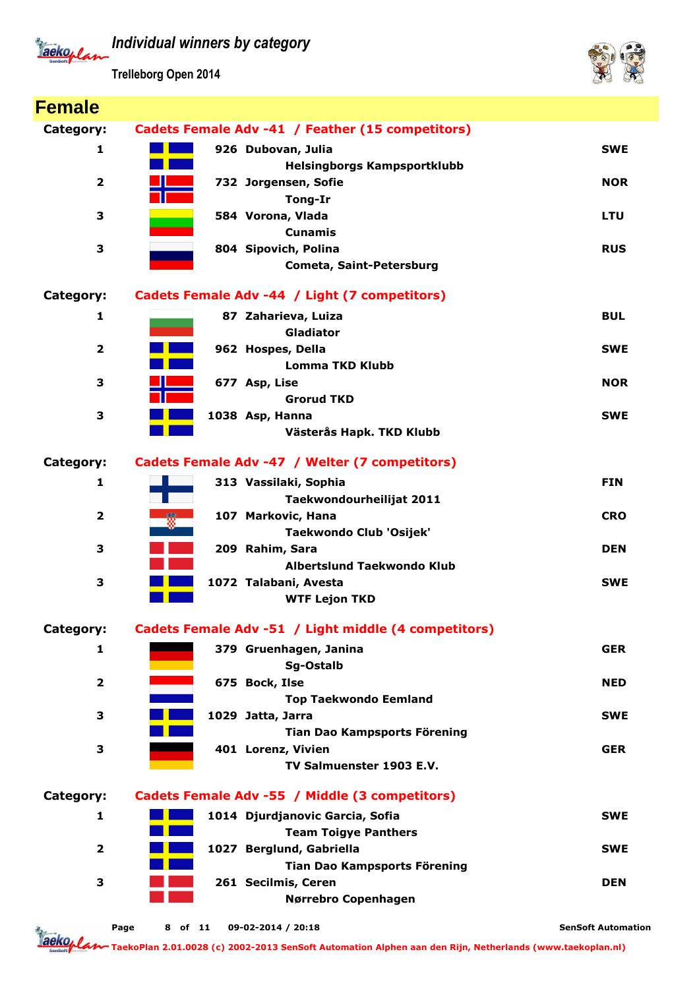

**Trelleborg Open 2014**



| <b>Female</b>           |         |                                                      |                           |
|-------------------------|---------|------------------------------------------------------|---------------------------|
| Category:               |         | Cadets Female Adv -41 / Feather (15 competitors)     |                           |
| 1                       |         | 926 Dubovan, Julia                                   | <b>SWE</b>                |
|                         |         | <b>Helsingborgs Kampsportklubb</b>                   |                           |
| $\overline{\mathbf{2}}$ |         | 732 Jorgensen, Sofie                                 | <b>NOR</b>                |
|                         |         | Tong-Ir                                              |                           |
| 3                       |         | 584 Vorona, Vlada                                    | <b>LTU</b>                |
|                         |         | <b>Cunamis</b>                                       |                           |
| 3                       |         | 804 Sipovich, Polina                                 | <b>RUS</b>                |
|                         |         | <b>Cometa, Saint-Petersburg</b>                      |                           |
| Category:               |         | Cadets Female Adv -44 / Light (7 competitors)        |                           |
| 1                       |         | 87 Zaharieva, Luiza                                  | <b>BUL</b>                |
|                         |         | Gladiator                                            |                           |
| $\overline{\mathbf{2}}$ |         | 962 Hospes, Della                                    | <b>SWE</b>                |
|                         |         | <b>Lomma TKD Klubb</b>                               |                           |
| 3                       |         | 677 Asp, Lise<br><b>Grorud TKD</b>                   | <b>NOR</b>                |
| 3                       |         | 1038 Asp, Hanna                                      | <b>SWE</b>                |
|                         |         | Västerås Hapk. TKD Klubb                             |                           |
|                         |         |                                                      |                           |
| Category:               |         | Cadets Female Adv -47 / Welter (7 competitors)       |                           |
| 1                       |         | 313 Vassilaki, Sophia                                | <b>FIN</b>                |
|                         |         | Taekwondourheilijat 2011                             |                           |
| $\overline{\mathbf{2}}$ |         | 107 Markovic, Hana                                   | <b>CRO</b>                |
|                         |         | Taekwondo Club 'Osijek'                              |                           |
| 3                       |         | 209 Rahim, Sara                                      | <b>DEN</b>                |
|                         |         | Albertslund Taekwondo Klub                           |                           |
| 3                       |         | 1072 Talabani, Avesta                                | <b>SWE</b>                |
|                         |         | <b>WTF Lejon TKD</b>                                 |                           |
| Category:               |         | Cadets Female Adv -51 / Light middle (4 competitors) |                           |
| 1                       |         | 379 Gruenhagen, Janina                               | <b>GER</b>                |
|                         |         | Sg-Ostalb                                            |                           |
| $\overline{\mathbf{2}}$ |         | 675 Bock, Ilse                                       | <b>NED</b>                |
|                         |         | <b>Top Taekwondo Eemland</b>                         |                           |
| 3                       |         | 1029 Jatta, Jarra                                    | <b>SWE</b>                |
| 3                       |         | Tian Dao Kampsports Förening<br>401 Lorenz, Vivien   | <b>GER</b>                |
|                         |         | TV Salmuenster 1903 E.V.                             |                           |
|                         |         |                                                      |                           |
| Category:               |         | Cadets Female Adv -55 / Middle (3 competitors)       |                           |
| 1                       |         | 1014 Djurdjanovic Garcia, Sofia                      | <b>SWE</b>                |
|                         |         | <b>Team Toigye Panthers</b>                          |                           |
| $\overline{\mathbf{2}}$ |         | 1027 Berglund, Gabriella                             | <b>SWE</b>                |
|                         |         | Tian Dao Kampsports Förening                         |                           |
| 3                       |         | 261 Secilmis, Ceren                                  | <b>DEN</b>                |
|                         |         | Nørrebro Copenhagen                                  |                           |
| Page                    | 8 of 11 | 09-02-2014 / 20:18                                   | <b>SenSoft Automation</b> |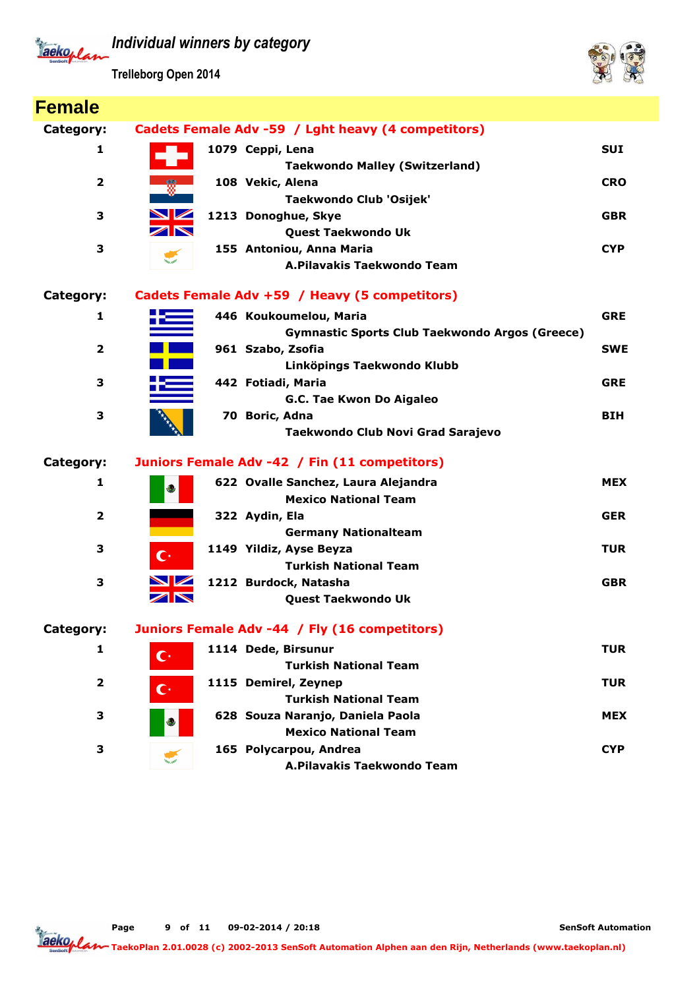

**Trelleborg Open 2014**



| <b>Female</b>           |                       |                                                       |            |
|-------------------------|-----------------------|-------------------------------------------------------|------------|
| Category:               |                       | Cadets Female Adv -59 / Lght heavy (4 competitors)    |            |
| 1                       |                       | 1079 Ceppi, Lena                                      | <b>SUI</b> |
|                         |                       | <b>Taekwondo Malley (Switzerland)</b>                 |            |
| $\overline{2}$          |                       | 108 Vekic, Alena                                      | <b>CRO</b> |
|                         |                       | Taekwondo Club 'Osijek'                               |            |
| З                       | <b>NZ</b>             | 1213 Donoghue, Skye                                   | <b>GBR</b> |
|                         | $\blacktriangleright$ | Quest Taekwondo Uk                                    |            |
| 3                       |                       | 155 Antoniou, Anna Maria                              | <b>CYP</b> |
|                         |                       | A.Pilavakis Taekwondo Team                            |            |
| Category:               |                       | Cadets Female Adv +59 / Heavy (5 competitors)         |            |
| 1                       |                       | 446 Koukoumelou, Maria                                | <b>GRE</b> |
|                         |                       | <b>Gymnastic Sports Club Taekwondo Argos (Greece)</b> |            |
| $\mathbf{2}$            |                       | 961 Szabo, Zsofia                                     | <b>SWE</b> |
|                         |                       | Linköpings Taekwondo Klubb                            |            |
| З                       |                       | 442 Fotiadi, Maria                                    | <b>GRE</b> |
|                         |                       | G.C. Tae Kwon Do Aigaleo                              |            |
| 3                       |                       | 70 Boric, Adna                                        | <b>BIH</b> |
|                         |                       | Taekwondo Club Novi Grad Sarajevo                     |            |
| Category:               |                       | Juniors Female Adv -42 / Fin (11 competitors)         |            |
| 1                       | رج                    | 622 Ovalle Sanchez, Laura Alejandra                   | <b>MEX</b> |
|                         |                       | <b>Mexico National Team</b>                           |            |
| $\overline{\mathbf{2}}$ |                       | 322 Aydin, Ela                                        | <b>GER</b> |
|                         |                       | <b>Germany Nationalteam</b>                           |            |
| 3                       | $\mathbf{C}^*$        | 1149 Yildiz, Ayse Beyza                               | <b>TUR</b> |
|                         |                       | <b>Turkish National Team</b>                          |            |
| 3                       | $\blacksquare$        | 1212 Burdock, Natasha                                 | <b>GBR</b> |
|                         |                       | Quest Taekwondo Uk                                    |            |
| Category:               |                       | Juniors Female Adv -44 / Fly (16 competitors)         |            |
| 1                       | $\mathbf{C}^*$        | 1114 Dede, Birsunur                                   | <b>TUR</b> |
|                         |                       | <b>Turkish National Team</b>                          |            |
| $\mathbf{2}$            | $\mathbf{C}^*$        | 1115 Demirel, Zeynep                                  | <b>TUR</b> |
|                         |                       | <b>Turkish National Team</b>                          |            |
| 3                       |                       | 628 Souza Naranjo, Daniela Paola                      | <b>MEX</b> |
|                         |                       | <b>Mexico National Team</b>                           |            |
| 3                       | <b>Ship conte</b>     | 165 Polycarpou, Andrea                                | <b>CYP</b> |
|                         |                       | A.Pilavakis Taekwondo Team                            |            |

**Page of 11 09-02-2014 / 20:18 9**

**SenSoft Automation**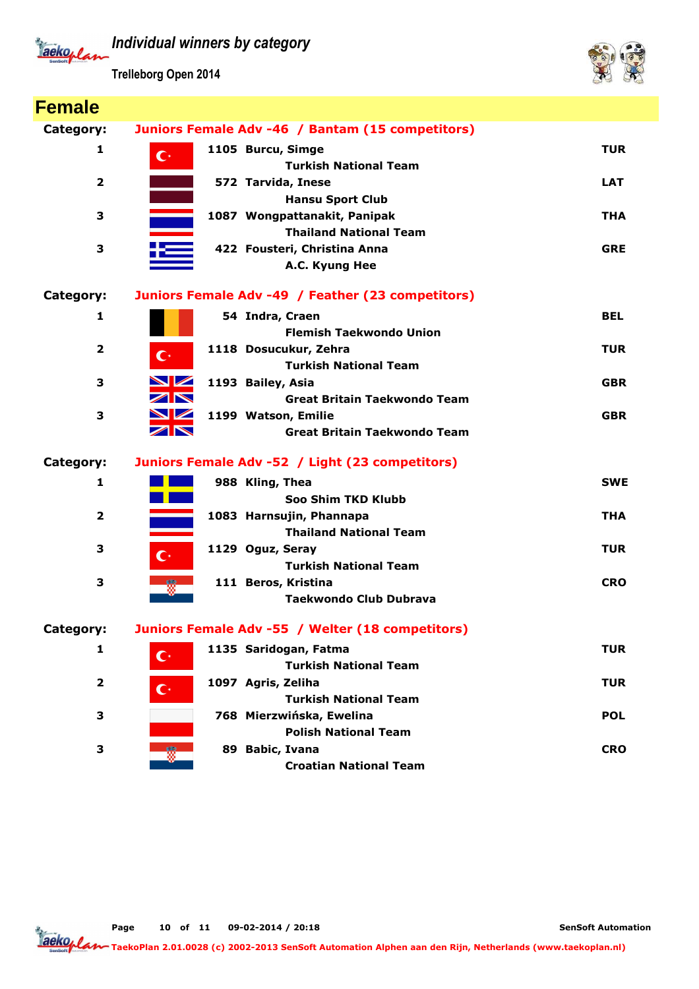

**Trelleborg Open 2014**



| <b>Female</b>           |                                                   |                                     |
|-------------------------|---------------------------------------------------|-------------------------------------|
| Category:               | Juniors Female Adv -46 / Bantam (15 competitors)  |                                     |
| 1                       | 1105 Burcu, Simge<br>$\mathbf{C}^*$               | <b>TUR</b>                          |
|                         |                                                   | <b>Turkish National Team</b>        |
| $\overline{2}$          | 572 Tarvida, Inese                                | <b>LAT</b>                          |
|                         |                                                   | <b>Hansu Sport Club</b>             |
| 3                       | 1087 Wongpattanakit, Panipak                      | <b>THA</b>                          |
|                         |                                                   | <b>Thailand National Team</b>       |
| 3                       | 422 Fousteri, Christina Anna                      | <b>GRE</b>                          |
|                         | A.C. Kyung Hee                                    |                                     |
| Category:               | Juniors Female Adv -49 / Feather (23 competitors) |                                     |
| $\mathbf{1}$            | 54 Indra, Craen                                   | <b>BEL</b>                          |
|                         |                                                   | <b>Flemish Taekwondo Union</b>      |
| $\overline{2}$          | 1118 Dosucukur, Zehra<br>$\mathbf{C}^*$           | <b>TUR</b>                          |
|                         |                                                   | <b>Turkish National Team</b>        |
| 3                       | NZ<br>1193 Bailey, Asia                           | <b>GBR</b>                          |
|                         | $\nabla$                                          | <b>Great Britain Taekwondo Team</b> |
| 3                       | NZ<br>1199 Watson, Emilie                         | <b>GBR</b>                          |
|                         | $\overline{\mathbf{Z}}$                           | <b>Great Britain Taekwondo Team</b> |
| Category:               | Juniors Female Adv -52 / Light (23 competitors)   |                                     |
| 1                       | 988 Kling, Thea                                   | <b>SWE</b>                          |
|                         |                                                   | Soo Shim TKD Klubb                  |
| $\overline{\mathbf{2}}$ | 1083 Harnsujin, Phannapa                          | <b>THA</b>                          |
|                         |                                                   | <b>Thailand National Team</b>       |
| 3                       | 1129 Oguz, Seray<br>$\mathbb{C}^*$                | <b>TUR</b>                          |
|                         |                                                   | <b>Turkish National Team</b>        |
| 3                       | 111 Beros, Kristina<br>W                          | <b>CRO</b>                          |
|                         |                                                   | <b>Taekwondo Club Dubrava</b>       |
| Category:               | Juniors Female Adv -55 / Welter (18 competitors)  |                                     |
| 1                       | 1135 Saridogan, Fatma<br>$\mathbf{C}^*$           | <b>TUR</b>                          |
|                         |                                                   | <b>Turkish National Team</b>        |
| $\overline{2}$          | 1097 Agris, Zeliha<br>$\mathbf{C}^*$              | <b>TUR</b>                          |
|                         |                                                   | <b>Turkish National Team</b>        |
| 3                       | 768 Mierzwińska, Ewelina                          | <b>POL</b>                          |
|                         |                                                   | <b>Polish National Team</b>         |
| 3                       | 89 Babic, Ivana<br>- 57                           | <b>CRO</b>                          |
|                         |                                                   | <b>Croatian National Team</b>       |

**Page of 11 09-02-2014 / 20:18 10**